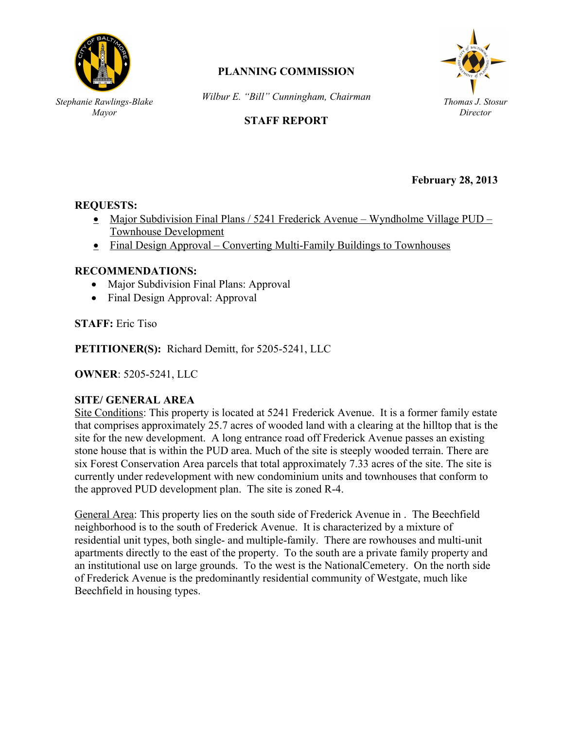

*Stephanie Rawlings-Blake Mayor*

# **PLANNING COMMISSION**

*Wilbur E. "Bill" Cunningham, Chairman*



## **STAFF REPORT**

**February 28, 2013**

# **REQUESTS:** *Stephanie Rawlings-Blake*

- Major Subdivision Final Plans / 5241 Frederick Avenue Wyndholme Village PUD Townhouse Development *Mayor*
- Final Design Approval Converting Multi-Family Buildings to Townhouses

#### **RECOMMENDATIONS:**

- Major Subdivision Final Plans: Approval
- Final Design Approval: Approval

**STAFF:** Eric Tiso

**PETITIONER(S):** Richard Demitt, for 5205-5241, LLC

**OWNER**: 5205-5241, LLC

#### **SITE/ GENERAL AREA**

Site Conditions: This property is located at 5241 Frederick Avenue. It is a former family estate that comprises approximately 25.7 acres of wooded land with a clearing at the hilltop that is the site for the new development. A long entrance road off Frederick Avenue passes an existing stone house that is within the PUD area. Much of the site is steeply wooded terrain. There are six Forest Conservation Area parcels that total approximately 7.33 acres of the site. The site is currently under redevelopment with new condominium units and townhouses that conform to the approved PUD development plan. The site is zoned R-4.

General Area: This property lies on the south side of Frederick Avenue in . The Beechfield neighborhood is to the south of Frederick Avenue. It is characterized by a mixture of residential unit types, both single- and multiple-family. There are rowhouses and multi-unit apartments directly to the east of the property. To the south are a private family property and an institutional use on large grounds. To the west is the NationalCemetery. On the north side of Frederick Avenue is the predominantly residential community of Westgate, much like Beechfield in housing types.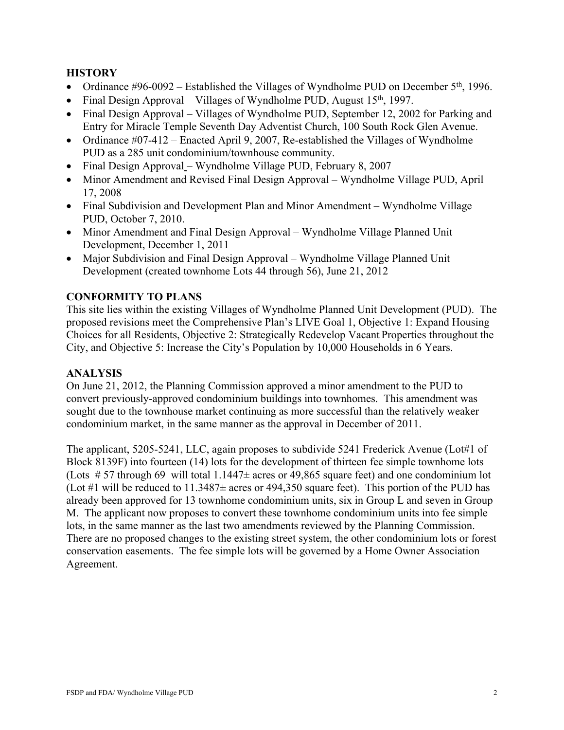#### **HISTORY**

- Ordinance  $\#96-0092$  Established the Villages of Wyndholme PUD on December 5<sup>th</sup>, 1996.
- Final Design Approval Villages of Wyndholme PUD, August  $15<sup>th</sup>$ , 1997.
- Final Design Approval Villages of Wyndholme PUD, September 12, 2002 for Parking and Entry for Miracle Temple Seventh Day Adventist Church, 100 South Rock Glen Avenue.
- Ordinance  $\#07-412$  Enacted April 9, 2007, Re-established the Villages of Wyndholme PUD as a 285 unit condominium/townhouse community.
- Final Design Approval Wyndholme Village PUD, February 8, 2007
- Minor Amendment and Revised Final Design Approval Wyndholme Village PUD, April 17, 2008
- Final Subdivision and Development Plan and Minor Amendment Wyndholme Village PUD, October 7, 2010.
- Minor Amendment and Final Design Approval Wyndholme Village Planned Unit Development, December 1, 2011
- Major Subdivision and Final Design Approval Wyndholme Village Planned Unit Development (created townhome Lots 44 through 56), June 21, 2012

### **CONFORMITY TO PLANS**

This site lies within the existing Villages of Wyndholme Planned Unit Development (PUD). The proposed revisions meet the Comprehensive Plan's LIVE Goal 1, Objective 1: Expand Housing Choices for all Residents, Objective 2: Strategically Redevelop Vacant Properties throughout the City, and Objective 5: Increase the City's Population by 10,000 Households in 6 Years.

#### **ANALYSIS**

On June 21, 2012, the Planning Commission approved a minor amendment to the PUD to convert previously-approved condominium buildings into townhomes. This amendment was sought due to the townhouse market continuing as more successful than the relatively weaker condominium market, in the same manner as the approval in December of 2011.

The applicant, 5205-5241, LLC, again proposes to subdivide 5241 Frederick Avenue (Lot#1 of Block 8139F) into fourteen (14) lots for the development of thirteen fee simple townhome lots (Lots  $# 57$  through 69 will total 1.1447 $\pm$  acres or 49,865 square feet) and one condominium lot (Lot #1 will be reduced to  $11.3487\pm$  acres or 494,350 square feet). This portion of the PUD has already been approved for 13 townhome condominium units, six in Group L and seven in Group M. The applicant now proposes to convert these townhome condominium units into fee simple lots, in the same manner as the last two amendments reviewed by the Planning Commission. There are no proposed changes to the existing street system, the other condominium lots or forest conservation easements. The fee simple lots will be governed by a Home Owner Association Agreement.